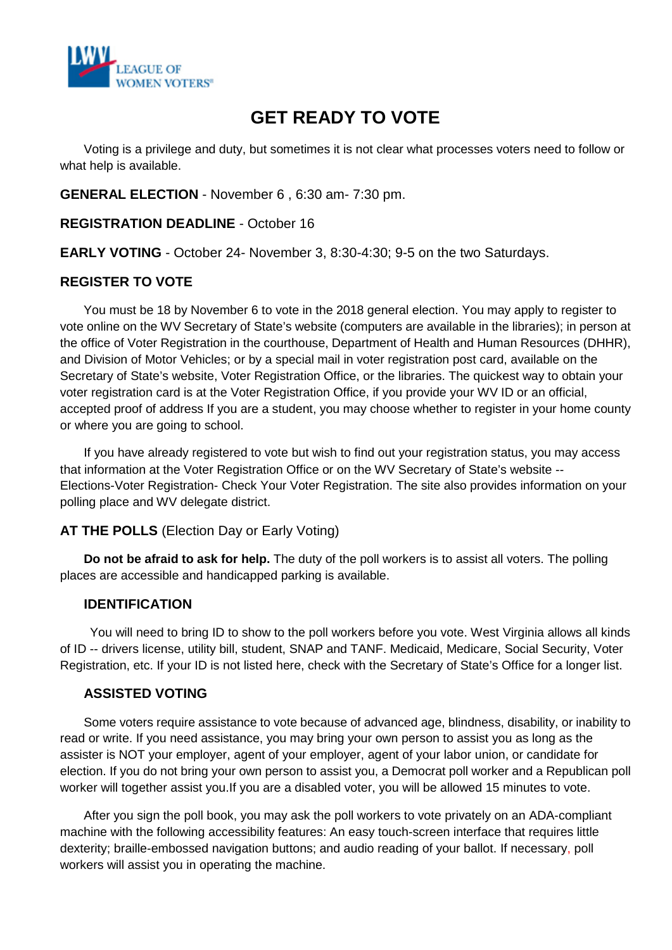

# **GET READY TO VOTE**

Voting is a privilege and duty, but sometimes it is not clear what processes voters need to follow or what help is available.

**GENERAL ELECTION** - November 6 , 6:30 am- 7:30 pm.

**REGISTRATION DEADLINE** - October 16

**EARLY VOTING** - October 24- November 3, 8:30-4:30; 9-5 on the two Saturdays.

#### **REGISTER TO VOTE**

 You must be 18 by November 6 to vote in the 2018 general election. You may apply to register to vote online on the WV Secretary of State's website (computers are available in the libraries); in person at the office of Voter Registration in the courthouse, Department of Health and Human Resources (DHHR), and Division of Motor Vehicles; or by a special mail in voter registration post card, available on the Secretary of State's website, Voter Registration Office, or the libraries. The quickest way to obtain your voter registration card is at the Voter Registration Office, if you provide your WV ID or an official, accepted proof of address If you are a student, you may choose whether to register in your home county or where you are going to school.

If you have already registered to vote but wish to find out your registration status, you may access that information at the Voter Registration Office or on the WV Secretary of State's website -- Elections-Voter Registration- Check Your Voter Registration. The site also provides information on your polling place and WV delegate district.

#### **AT THE POLLS** (Election Day or Early Voting)

**Do not be afraid to ask for help.** The duty of the poll workers is to assist all voters. The polling places are accessible and handicapped parking is available.

#### **IDENTIFICATION**

You will need to bring ID to show to the poll workers before you vote. West Virginia allows all kinds of ID -- drivers license, utility bill, student, SNAP and TANF. Medicaid, Medicare, Social Security, Voter Registration, etc. If your ID is not listed here, check with the Secretary of State's Office for a longer list.

#### **ASSISTED VOTING**

Some voters require assistance to vote because of advanced age, blindness, disability, or inability to read or write. If you need assistance, you may bring your own person to assist you as long as the assister is NOT your employer, agent of your employer, agent of your labor union, or candidate for election. If you do not bring your own person to assist you, a Democrat poll worker and a Republican poll worker will together assist you.If you are a disabled voter, you will be allowed 15 minutes to vote.

After you sign the poll book, you may ask the poll workers to vote privately on an ADA-compliant machine with the following accessibility features: An easy touch-screen interface that requires little dexterity; braille-embossed navigation buttons; and audio reading of your ballot. If necessary, poll workers will assist you in operating the machine.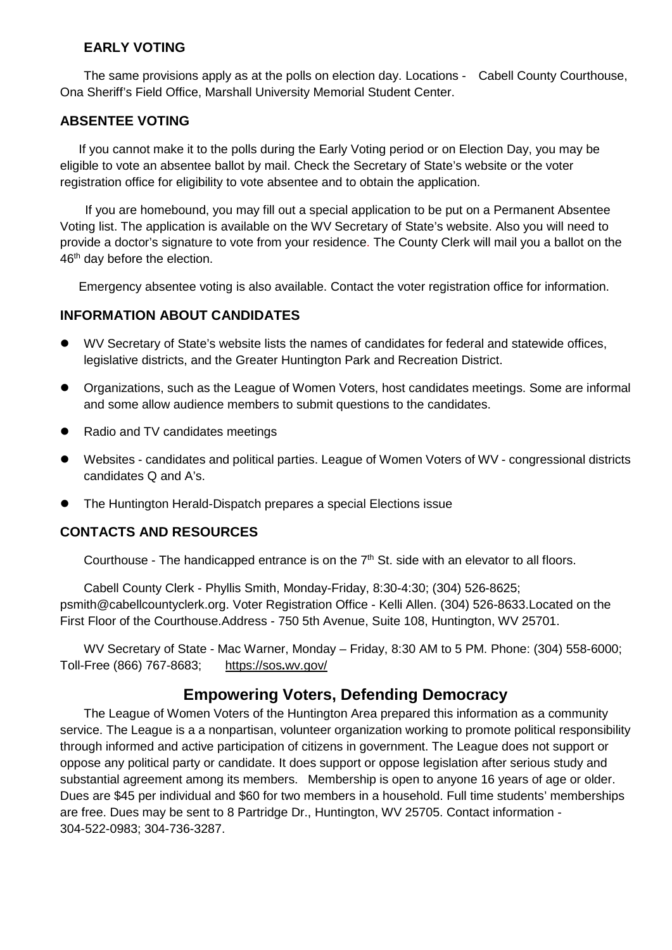#### **EARLY VOTING**

The same provisions apply as at the polls on election day. Locations - Cabell County Courthouse, Ona Sheriff's Field Office, Marshall University Memorial Student Center.

#### **ABSENTEE VOTING**

If you cannot make it to the polls during the Early Voting period or on Election Day, you may be eligible to vote an absentee ballot by mail. Check the Secretary of State's website or the voter registration office for eligibility to vote absentee and to obtain the application.

If you are homebound, you may fill out a special application to be put on a Permanent Absentee Voting list. The application is available on the WV Secretary of State's website. Also you will need to provide a doctor's signature to vote from your residence. The County Clerk will mail you a ballot on the 46<sup>th</sup> day before the election.

Emergency absentee voting is also available. Contact the voter registration office for information.

#### **INFORMATION ABOUT CANDIDATES**

- WV Secretary of State's website lists the names of candidates for federal and statewide offices, legislative districts, and the Greater Huntington Park and Recreation District.
- Organizations, such as the League of Women Voters, host candidates meetings. Some are informal and some allow audience members to submit questions to the candidates.
- Radio and TV candidates meetings
- Websites candidates and political parties. League of Women Voters of WV congressional districts candidates Q and A's.
- The Huntington Herald-Dispatch prepares a special Elections issue

### **CONTACTS AND RESOURCES**

Courthouse - The handicapped entrance is on the  $7<sup>th</sup>$  St. side with an elevator to all floors.

Cabell County Clerk - Phyllis Smith, Monday-Friday, 8:30-4:30; (304) 526-8625; [psmith@cabellcountyclerk.org.](mailto:psmith@cabellcountyclerk.org) Voter Registration Office - Kelli Allen. (304) 526-8633.Located on the First Floor of the Courthouse.Address - 750 5th Avenue, Suite 108, Huntington, WV 25701.

WV Secretary of State - Mac Warner, Monday – Friday, 8:30 AM to 5 PM. Phone: (304) 558-6000; Toll-Free (866) 767-8683; [https://sos](https://sos.wv.gov/)**.**wv.gov/

## **Empowering Voters, Defending Democracy**

The League of Women Voters of the Huntington Area prepared this information as a community service. The League is a a nonpartisan, volunteer organization working to promote political responsibility through informed and active participation of citizens in government. The League does not support or oppose any political party or candidate. It does support or oppose legislation after serious study and substantial agreement among its members. Membership is open to anyone 16 years of age or older. Dues are \$45 per individual and \$60 for two members in a household. Full time students' memberships are free. Dues may be sent to 8 Partridge Dr., Huntington, WV 25705. Contact information - 304-522-0983; 304-736-3287.